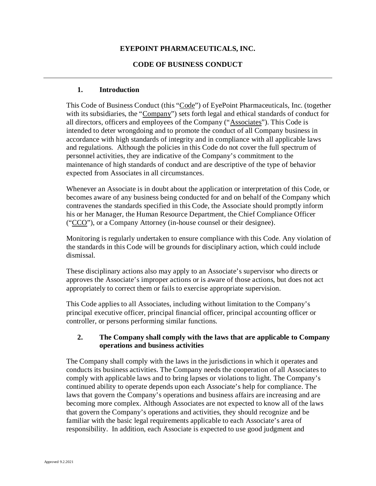# **EYEPOINT PHARMACEUTICALS, INC.**

# **CODE OF BUSINESS CONDUCT**

## **1. Introduction**

This Code of Business Conduct (this "Code") of EyePoint Pharmaceuticals, Inc. (together with its subsidiaries, the "Company") sets forth legal and ethical standards of conduct for all directors, officers and employees of the Company ("Associates"). This Code is intended to deter wrongdoing and to promote the conduct of all Company business in accordance with high standards of integrity and in compliance with all applicable laws and regulations. Although the policies in this Code do not cover the full spectrum of personnel activities, they are indicative of the Company's commitment to the maintenance of high standards of conduct and are descriptive of the type of behavior expected from Associates in all circumstances.

Whenever an Associate is in doubt about the application or interpretation of this Code, or becomes aware of any business being conducted for and on behalf of the Company which contravenes the standards specified in this Code, the Associate should promptly inform his or her Manager, the Human Resource Department, the Chief Compliance Officer ("CCO"), or a Company Attorney (in-house counsel or their designee).

Monitoring is regularly undertaken to ensure compliance with this Code. Any violation of the standards in this Code will be grounds for disciplinary action, which could include dismissal.

These disciplinary actions also may apply to an Associate's supervisor who directs or approves the Associate's improper actions or is aware of those actions, but does not act appropriately to correct them or fails to exercise appropriate supervision.

This Code applies to all Associates, including without limitation to the Company's principal executive officer, principal financial officer, principal accounting officer or controller, or persons performing similar functions.

## **2. The Company shall comply with the laws that are applicable to Company operations and business activities**

The Company shall comply with the laws in the jurisdictions in which it operates and conducts its business activities. The Company needs the cooperation of all Associates to comply with applicable laws and to bring lapses or violations to light. The Company's continued ability to operate depends upon each Associate's help for compliance. The laws that govern the Company's operations and business affairs are increasing and are becoming more complex. Although Associates are not expected to know all of the laws that govern the Company's operations and activities, they should recognize and be familiar with the basic legal requirements applicable to each Associate's area of responsibility. In addition, each Associate is expected to use good judgment and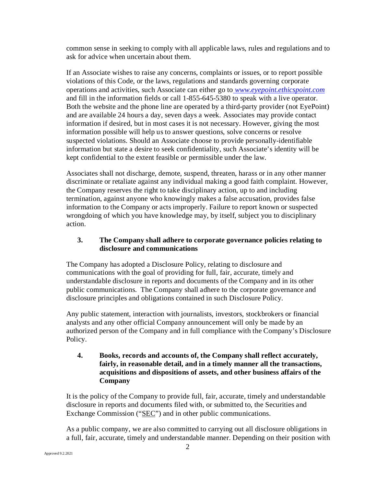common sense in seeking to comply with all applicable laws, rules and regulations and to ask for advice when uncertain about them.

If an Associate wishes to raise any concerns, complaints or issues, or to report possible violations of this Code, or the laws, regulations and standards governing corporate operations and activities, such Associate can either go to *www.eyepoint.ethicspoint.com* and fill in the information fields or call 1-855-645-5380 to speak with a live operator. Both the website and the phone line are operated by a third-party provider (not EyePoint) and are available 24 hours a day, seven days a week. Associates may provide contact information if desired, but in most cases it is not necessary. However, giving the most information possible will help us to answer questions, solve concerns or resolve suspected violations. Should an Associate choose to provide personally-identifiable information but state a desire to seek confidentiality, such Associate's identity will be kept confidential to the extent feasible or permissible under the law.

Associates shall not discharge, demote, suspend, threaten, harass or in any other manner discriminate or retaliate against any individual making a good faith complaint. However, the Company reserves the right to take disciplinary action, up to and including termination, against anyone who knowingly makes a false accusation, provides false information to the Company or acts improperly. Failure to report known or suspected wrongdoing of which you have knowledge may, by itself, subject you to disciplinary action.

# **3. The Company shall adhere to corporate governance policies relating to disclosure and communications**

The Company has adopted a Disclosure Policy, relating to disclosure and communications with the goal of providing for full, fair, accurate, timely and understandable disclosure in reports and documents of the Company and in its other public communications. The Company shall adhere to the corporate governance and disclosure principles and obligations contained in such Disclosure Policy.

Any public statement, interaction with journalists, investors, stockbrokers or financial analysts and any other official Company announcement will only be made by an authorized person of the Company and in full compliance with the Company's Disclosure Policy.

## **4. Books, records and accounts of, the Company shall reflect accurately, fairly, in reasonable detail, and in a timely manner all the transactions, acquisitions and dispositions of assets, and other business affairs of the Company**

It is the policy of the Company to provide full, fair, accurate, timely and understandable disclosure in reports and documents filed with, or submitted to, the Securities and Exchange Commission ("SEC") and in other public communications.

As a public company, we are also committed to carrying out all disclosure obligations in a full, fair, accurate, timely and understandable manner. Depending on their position with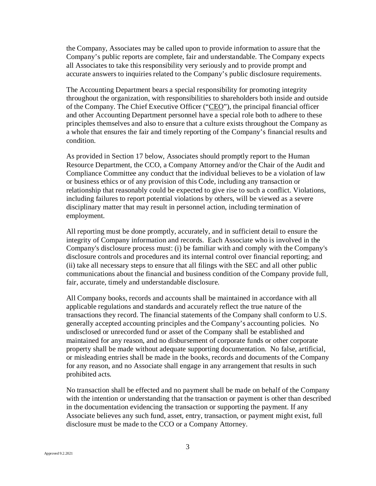the Company, Associates may be called upon to provide information to assure that the Company's public reports are complete, fair and understandable. The Company expects all Associates to take this responsibility very seriously and to provide prompt and accurate answers to inquiries related to the Company's public disclosure requirements.

The Accounting Department bears a special responsibility for promoting integrity throughout the organization, with responsibilities to shareholders both inside and outside of the Company. The Chief Executive Officer ("CEO"), the principal financial officer and other Accounting Department personnel have a special role both to adhere to these principles themselves and also to ensure that a culture exists throughout the Company as a whole that ensures the fair and timely reporting of the Company's financial results and condition.

As provided in Section 17 below, Associates should promptly report to the Human Resource Department, the CCO, a Company Attorney and/or the Chair of the Audit and Compliance Committee any conduct that the individual believes to be a violation of law or business ethics or of any provision of this Code, including any transaction or relationship that reasonably could be expected to give rise to such a conflict. Violations, including failures to report potential violations by others, will be viewed as a severe disciplinary matter that may result in personnel action, including termination of employment.

All reporting must be done promptly, accurately, and in sufficient detail to ensure the integrity of Company information and records. Each Associate who is involved in the Company's disclosure process must: (i) be familiar with and comply with the Company's disclosure controls and procedures and its internal control over financial reporting; and (ii) take all necessary steps to ensure that all filings with the SEC and all other public communications about the financial and business condition of the Company provide full, fair, accurate, timely and understandable disclosure.

All Company books, records and accounts shall be maintained in accordance with all applicable regulations and standards and accurately reflect the true nature of the transactions they record. The financial statements of the Company shall conform to U.S. generally accepted accounting principles and the Company's accounting policies. No undisclosed or unrecorded fund or asset of the Company shall be established and maintained for any reason, and no disbursement of corporate funds or other corporate property shall be made without adequate supporting documentation. No false, artificial, or misleading entries shall be made in the books, records and documents of the Company for any reason, and no Associate shall engage in any arrangement that results in such prohibited acts.

No transaction shall be effected and no payment shall be made on behalf of the Company with the intention or understanding that the transaction or payment is other than described in the documentation evidencing the transaction or supporting the payment. If any Associate believes any such fund, asset, entry, transaction, or payment might exist, full disclosure must be made to the CCO or a Company Attorney.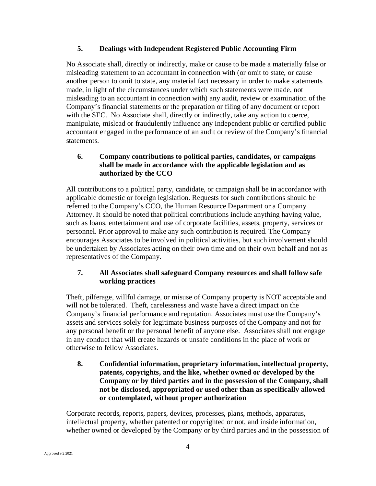## **5. Dealings with Independent Registered Public Accounting Firm**

No Associate shall, directly or indirectly, make or cause to be made a materially false or misleading statement to an accountant in connection with (or omit to state, or cause another person to omit to state, any material fact necessary in order to make statements made, in light of the circumstances under which such statements were made, not misleading to an accountant in connection with) any audit, review or examination of the Company's financial statements or the preparation or filing of any document or report with the SEC. No Associate shall, directly or indirectly, take any action to coerce, manipulate, mislead or fraudulently influence any independent public or certified public accountant engaged in the performance of an audit or review of the Company's financial statements.

# **6. Company contributions to political parties, candidates, or campaigns shall be made in accordance with the applicable legislation and as authorized by the CCO**

All contributions to a political party, candidate, or campaign shall be in accordance with applicable domestic or foreign legislation. Requests for such contributions should be referred to the Company's CCO, the Human Resource Department or a Company Attorney. It should be noted that political contributions include anything having value, such as loans, entertainment and use of corporate facilities, assets, property, services or personnel. Prior approval to make any such contribution is required. The Company encourages Associates to be involved in political activities, but such involvement should be undertaken by Associates acting on their own time and on their own behalf and not as representatives of the Company.

## **7. All Associates shall safeguard Company resources and shall follow safe working practices**

Theft, pilferage, willful damage, or misuse of Company property is NOT acceptable and will not be tolerated. Theft, carelessness and waste have a direct impact on the Company's financial performance and reputation. Associates must use the Company's assets and services solely for legitimate business purposes of the Company and not for any personal benefit or the personal benefit of anyone else. Associates shall not engage in any conduct that will create hazards or unsafe conditions in the place of work or otherwise to fellow Associates.

## **8. Confidential information, proprietary information, intellectual property, patents, copyrights, and the like, whether owned or developed by the Company or by third parties and in the possession of the Company, shall not be disclosed, appropriated or used other than as specifically allowed or contemplated, without proper authorization**

Corporate records, reports, papers, devices, processes, plans, methods, apparatus, intellectual property, whether patented or copyrighted or not, and inside information, whether owned or developed by the Company or by third parties and in the possession of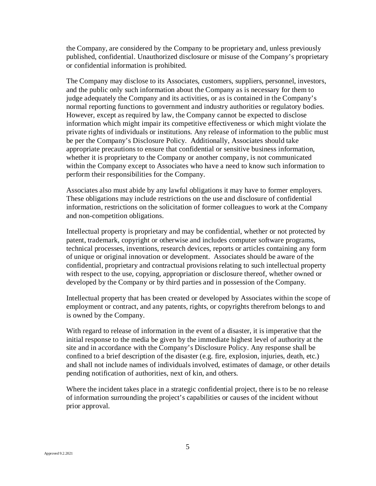the Company, are considered by the Company to be proprietary and, unless previously published, confidential. Unauthorized disclosure or misuse of the Company's proprietary or confidential information is prohibited.

The Company may disclose to its Associates, customers, suppliers, personnel, investors, and the public only such information about the Company as is necessary for them to judge adequately the Company and its activities, or as is contained in the Company's normal reporting functions to government and industry authorities or regulatory bodies. However, except as required by law, the Company cannot be expected to disclose information which might impair its competitive effectiveness or which might violate the private rights of individuals or institutions. Any release of information to the public must be per the Company's Disclosure Policy. Additionally, Associates should take appropriate precautions to ensure that confidential or sensitive business information, whether it is proprietary to the Company or another company, is not communicated within the Company except to Associates who have a need to know such information to perform their responsibilities for the Company.

Associates also must abide by any lawful obligations it may have to former employers. These obligations may include restrictions on the use and disclosure of confidential information, restrictions on the solicitation of former colleagues to work at the Company and non-competition obligations.

Intellectual property is proprietary and may be confidential, whether or not protected by patent, trademark, copyright or otherwise and includes computer software programs, technical processes, inventions, research devices, reports or articles containing any form of unique or original innovation or development. Associates should be aware of the confidential, proprietary and contractual provisions relating to such intellectual property with respect to the use, copying, appropriation or disclosure thereof, whether owned or developed by the Company or by third parties and in possession of the Company.

Intellectual property that has been created or developed by Associates within the scope of employment or contract, and any patents, rights, or copyrights therefrom belongs to and is owned by the Company.

With regard to release of information in the event of a disaster, it is imperative that the initial response to the media be given by the immediate highest level of authority at the site and in accordance with the Company's Disclosure Policy. Any response shall be confined to a brief description of the disaster (e.g. fire, explosion, injuries, death, etc.) and shall not include names of individuals involved, estimates of damage, or other details pending notification of authorities, next of kin, and others.

Where the incident takes place in a strategic confidential project, there is to be no release of information surrounding the project's capabilities or causes of the incident without prior approval.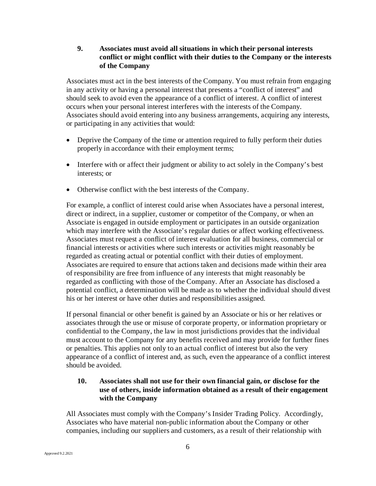## **9. Associates must avoid all situations in which their personal interests conflict or might conflict with their duties to the Company or the interests of the Company**

Associates must act in the best interests of the Company. You must refrain from engaging in any activity or having a personal interest that presents a "conflict of interest" and should seek to avoid even the appearance of a conflict of interest. A conflict of interest occurs when your personal interest interferes with the interests of the Company. Associates should avoid entering into any business arrangements, acquiring any interests, or participating in any activities that would:

- Deprive the Company of the time or attention required to fully perform their duties properly in accordance with their employment terms;
- Interfere with or affect their judgment or ability to act solely in the Company's best interests; or
- Otherwise conflict with the best interests of the Company.

For example, a conflict of interest could arise when Associates have a personal interest, direct or indirect, in a supplier, customer or competitor of the Company, or when an Associate is engaged in outside employment or participates in an outside organization which may interfere with the Associate's regular duties or affect working effectiveness. Associates must request a conflict of interest evaluation for all business, commercial or financial interests or activities where such interests or activities might reasonably be regarded as creating actual or potential conflict with their duties of employment. Associates are required to ensure that actions taken and decisions made within their area of responsibility are free from influence of any interests that might reasonably be regarded as conflicting with those of the Company. After an Associate has disclosed a potential conflict, a determination will be made as to whether the individual should divest his or her interest or have other duties and responsibilities assigned.

If personal financial or other benefit is gained by an Associate or his or her relatives or associates through the use or misuse of corporate property, or information proprietary or confidential to the Company, the law in most jurisdictions provides that the individual must account to the Company for any benefits received and may provide for further fines or penalties. This applies not only to an actual conflict of interest but also the very appearance of a conflict of interest and, as such, even the appearance of a conflict interest should be avoided.

## **10. Associates shall not use for their own financial gain, or disclose for the use of others, inside information obtained as a result of their engagement with the Company**

All Associates must comply with the Company's Insider Trading Policy. Accordingly, Associates who have material non-public information about the Company or other companies, including our suppliers and customers, as a result of their relationship with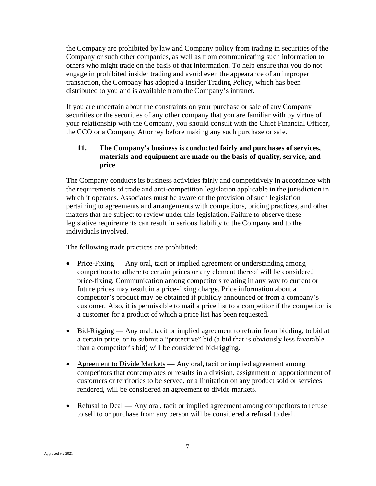the Company are prohibited by law and Company policy from trading in securities of the Company or such other companies, as well as from communicating such information to others who might trade on the basis of that information. To help ensure that you do not engage in prohibited insider trading and avoid even the appearance of an improper transaction, the Company has adopted a Insider Trading Policy, which has been distributed to you and is available from the Company's intranet.

If you are uncertain about the constraints on your purchase or sale of any Company securities or the securities of any other company that you are familiar with by virtue of your relationship with the Company, you should consult with the Chief Financial Officer, the CCO or a Company Attorney before making any such purchase or sale.

## **11. The Company's business is conducted fairly and purchases of services, materials and equipment are made on the basis of quality, service, and price**

The Company conducts its business activities fairly and competitively in accordance with the requirements of trade and anti-competition legislation applicable in the jurisdiction in which it operates. Associates must be aware of the provision of such legislation pertaining to agreements and arrangements with competitors, pricing practices, and other matters that are subject to review under this legislation. Failure to observe these legislative requirements can result in serious liability to the Company and to the individuals involved.

The following trade practices are prohibited:

- Price-Fixing Any oral, tacit or implied agreement or understanding among competitors to adhere to certain prices or any element thereof will be considered price-fixing. Communication among competitors relating in any way to current or future prices may result in a price-fixing charge. Price information about a competitor's product may be obtained if publicly announced or from a company's customer. Also, it is permissible to mail a price list to a competitor if the competitor is a customer for a product of which a price list has been requested.
- Bid-Rigging Any oral, tacit or implied agreement to refrain from bidding, to bid at a certain price, or to submit a "protective" bid (a bid that is obviously less favorable than a competitor's bid) will be considered bid-rigging.
- Agreement to Divide Markets Any oral, tacit or implied agreement among competitors that contemplates or results in a division, assignment or apportionment of customers or territories to be served, or a limitation on any product sold or services rendered, will be considered an agreement to divide markets.
- Refusal to Deal Any oral, tacit or implied agreement among competitors to refuse to sell to or purchase from any person will be considered a refusal to deal.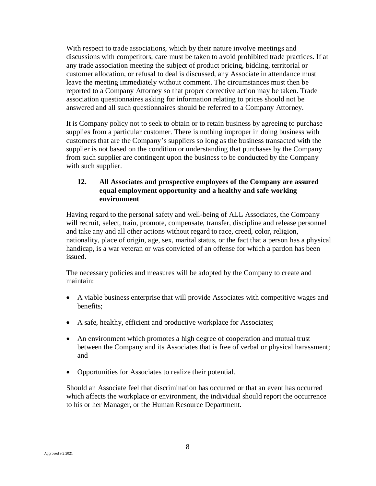With respect to trade associations, which by their nature involve meetings and discussions with competitors, care must be taken to avoid prohibited trade practices. If at any trade association meeting the subject of product pricing, bidding, territorial or customer allocation, or refusal to deal is discussed, any Associate in attendance must leave the meeting immediately without comment. The circumstances must then be reported to a Company Attorney so that proper corrective action may be taken. Trade association questionnaires asking for information relating to prices should not be answered and all such questionnaires should be referred to a Company Attorney.

It is Company policy not to seek to obtain or to retain business by agreeing to purchase supplies from a particular customer. There is nothing improper in doing business with customers that are the Company's suppliers so long as the business transacted with the supplier is not based on the condition or understanding that purchases by the Company from such supplier are contingent upon the business to be conducted by the Company with such supplier.

# **12. All Associates and prospective employees of the Company are assured equal employment opportunity and a healthy and safe working environment**

Having regard to the personal safety and well-being of ALL Associates, the Company will recruit, select, train, promote, compensate, transfer, discipline and release personnel and take any and all other actions without regard to race, creed, color, religion, nationality, place of origin, age, sex, marital status, or the fact that a person has a physical handicap, is a war veteran or was convicted of an offense for which a pardon has been issued.

The necessary policies and measures will be adopted by the Company to create and maintain:

- A viable business enterprise that will provide Associates with competitive wages and benefits;
- A safe, healthy, efficient and productive workplace for Associates;
- An environment which promotes a high degree of cooperation and mutual trust between the Company and its Associates that is free of verbal or physical harassment; and
- Opportunities for Associates to realize their potential.

Should an Associate feel that discrimination has occurred or that an event has occurred which affects the workplace or environment, the individual should report the occurrence to his or her Manager, or the Human Resource Department.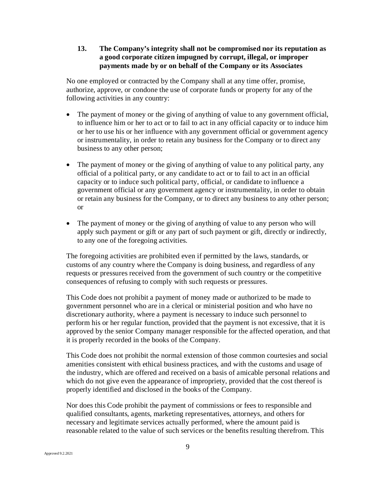## **13. The Company's integrity shall not be compromised nor its reputation as a good corporate citizen impugned by corrupt, illegal, or improper payments made by or on behalf of the Company or its Associates**

No one employed or contracted by the Company shall at any time offer, promise, authorize, approve, or condone the use of corporate funds or property for any of the following activities in any country:

- The payment of money or the giving of anything of value to any government official, to influence him or her to act or to fail to act in any official capacity or to induce him or her to use his or her influence with any government official or government agency or instrumentality, in order to retain any business for the Company or to direct any business to any other person;
- The payment of money or the giving of anything of value to any political party, any official of a political party, or any candidate to act or to fail to act in an official capacity or to induce such political party, official, or candidate to influence a government official or any government agency or instrumentality, in order to obtain or retain any business for the Company, or to direct any business to any other person; or
- The payment of money or the giving of anything of value to any person who will apply such payment or gift or any part of such payment or gift, directly or indirectly, to any one of the foregoing activities.

The foregoing activities are prohibited even if permitted by the laws, standards, or customs of any country where the Company is doing business, and regardless of any requests or pressures received from the government of such country or the competitive consequences of refusing to comply with such requests or pressures.

This Code does not prohibit a payment of money made or authorized to be made to government personnel who are in a clerical or ministerial position and who have no discretionary authority, where a payment is necessary to induce such personnel to perform his or her regular function, provided that the payment is not excessive, that it is approved by the senior Company manager responsible for the affected operation, and that it is properly recorded in the books of the Company.

This Code does not prohibit the normal extension of those common courtesies and social amenities consistent with ethical business practices, and with the customs and usage of the industry, which are offered and received on a basis of amicable personal relations and which do not give even the appearance of impropriety, provided that the cost thereof is properly identified and disclosed in the books of the Company.

Nor does this Code prohibit the payment of commissions or fees to responsible and qualified consultants, agents, marketing representatives, attorneys, and others for necessary and legitimate services actually performed, where the amount paid is reasonable related to the value of such services or the benefits resulting therefrom. This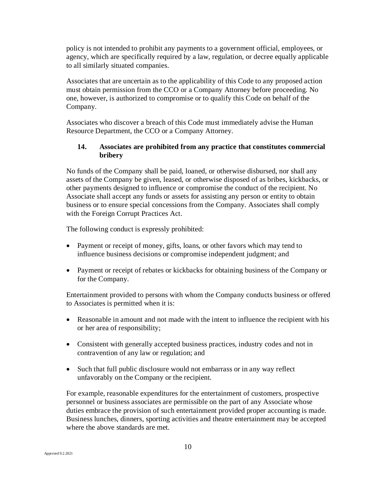policy is not intended to prohibit any payments to a government official, employees, or agency, which are specifically required by a law, regulation, or decree equally applicable to all similarly situated companies.

Associates that are uncertain as to the applicability of this Code to any proposed action must obtain permission from the CCO or a Company Attorney before proceeding. No one, however, is authorized to compromise or to qualify this Code on behalf of the Company.

Associates who discover a breach of this Code must immediately advise the Human Resource Department, the CCO or a Company Attorney.

## **14. Associates are prohibited from any practice that constitutes commercial bribery**

No funds of the Company shall be paid, loaned, or otherwise disbursed, nor shall any assets of the Company be given, leased, or otherwise disposed of as bribes, kickbacks, or other payments designed to influence or compromise the conduct of the recipient. No Associate shall accept any funds or assets for assisting any person or entity to obtain business or to ensure special concessions from the Company. Associates shall comply with the Foreign Corrupt Practices Act.

The following conduct is expressly prohibited:

- Payment or receipt of money, gifts, loans, or other favors which may tend to influence business decisions or compromise independent judgment; and
- Payment or receipt of rebates or kickbacks for obtaining business of the Company or for the Company.

Entertainment provided to persons with whom the Company conducts business or offered to Associates is permitted when it is:

- Reasonable in amount and not made with the intent to influence the recipient with his or her area of responsibility;
- Consistent with generally accepted business practices, industry codes and not in contravention of any law or regulation; and
- Such that full public disclosure would not embarrass or in any way reflect unfavorably on the Company or the recipient.

For example, reasonable expenditures for the entertainment of customers, prospective personnel or business associates are permissible on the part of any Associate whose duties embrace the provision of such entertainment provided proper accounting is made. Business lunches, dinners, sporting activities and theatre entertainment may be accepted where the above standards are met.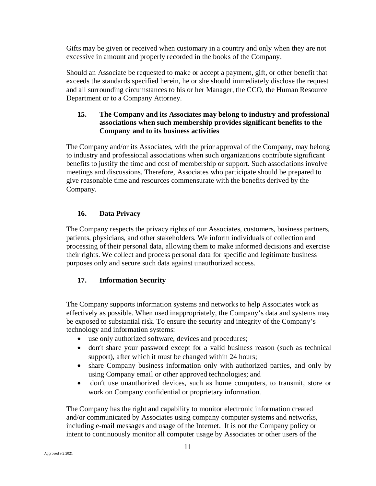Gifts may be given or received when customary in a country and only when they are not excessive in amount and properly recorded in the books of the Company.

Should an Associate be requested to make or accept a payment, gift, or other benefit that exceeds the standards specified herein, he or she should immediately disclose the request and all surrounding circumstances to his or her Manager, the CCO, the Human Resource Department or to a Company Attorney.

# **15. The Company and its Associates may belong to industry and professional associations when such membership provides significant benefits to the Company and to its business activities**

The Company and/or its Associates, with the prior approval of the Company, may belong to industry and professional associations when such organizations contribute significant benefits to justify the time and cost of membership or support. Such associations involve meetings and discussions. Therefore, Associates who participate should be prepared to give reasonable time and resources commensurate with the benefits derived by the Company.

# **16. Data Privacy**

The Company respects the privacy rights of our Associates, customers, business partners, patients, physicians, and other stakeholders. We inform individuals of collection and processing of their personal data, allowing them to make informed decisions and exercise their rights. We collect and process personal data for specific and legitimate business purposes only and secure such data against unauthorized access.

# **17. Information Security**

The Company supports information systems and networks to help Associates work as effectively as possible. When used inappropriately, the Company's data and systems may be exposed to substantial risk. To ensure the security and integrity of the Company's technology and information systems:

- use only authorized software, devices and procedures;
- don't share your password except for a valid business reason (such as technical support), after which it must be changed within 24 hours;
- share Company business information only with authorized parties, and only by using Company email or other approved technologies; and
- don't use unauthorized devices, such as home computers, to transmit, store or work on Company confidential or proprietary information.

The Company has the right and capability to monitor electronic information created and/or communicated by Associates using company computer systems and networks, including e-mail messages and usage of the Internet. It is not the Company policy or intent to continuously monitor all computer usage by Associates or other users of the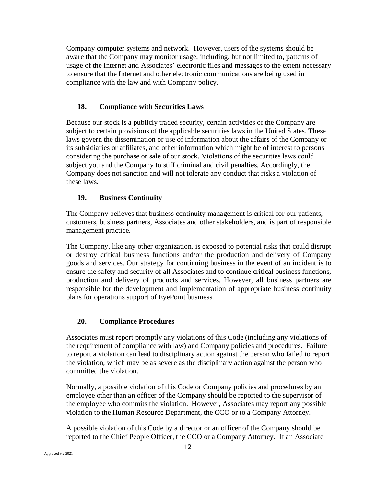Company computer systems and network. However, users of the systems should be aware that the Company may monitor usage, including, but not limited to, patterns of usage of the Internet and Associates' electronic files and messages to the extent necessary to ensure that the Internet and other electronic communications are being used in compliance with the law and with Company policy.

## **18. Compliance with Securities Laws**

Because our stock is a publicly traded security, certain activities of the Company are subject to certain provisions of the applicable securities laws in the United States. These laws govern the dissemination or use of information about the affairs of the Company or its subsidiaries or affiliates, and other information which might be of interest to persons considering the purchase or sale of our stock. Violations of the securities laws could subject you and the Company to stiff criminal and civil penalties. Accordingly, the Company does not sanction and will not tolerate any conduct that risks a violation of these laws.

### **19. Business Continuity**

The Company believes that business continuity management is critical for our patients, customers, business partners, Associates and other stakeholders, and is part of responsible management practice.

The Company, like any other organization, is exposed to potential risks that could disrupt or destroy critical business functions and/or the production and delivery of Company goods and services. Our strategy for continuing business in the event of an incident is to ensure the safety and security of all Associates and to continue critical business functions, production and delivery of products and services. However, all business partners are responsible for the development and implementation of appropriate business continuity plans for operations support of EyePoint business.

### **20. Compliance Procedures**

Associates must report promptly any violations of this Code (including any violations of the requirement of compliance with law) and Company policies and procedures. Failure to report a violation can lead to disciplinary action against the person who failed to report the violation, which may be as severe as the disciplinary action against the person who committed the violation.

Normally, a possible violation of this Code or Company policies and procedures by an employee other than an officer of the Company should be reported to the supervisor of the employee who commits the violation. However, Associates may report any possible violation to the Human Resource Department, the CCO or to a Company Attorney.

A possible violation of this Code by a director or an officer of the Company should be reported to the Chief People Officer, the CCO or a Company Attorney. If an Associate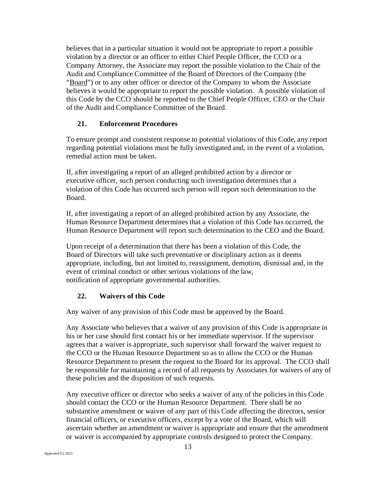believes that in a particular situation it would not be appropriate to report a possible violation by a director or an officer to either Chief People Officer, the CCO or a Company Attorney, the Associate may report the possible violation to the Chair of the Audit and Compliance Committee of the Board of Directors of the Company (the "Board") or to any other officer or director of the Company to whom the Associate believes it would be appropriate to report the possible violation. A possible violation of this Code by the CCO should be reported to the Chief People Officer, CEO or the Chair of the Audit and Compliance Committee of the Board.

### **21. Enforcement Procedures**

To ensure prompt and consistent response to potential violations of this Code, any report regarding potential violations must be fully investigated and, in the event of a violation, remedial action must be taken.

If, after investigating a report of an alleged prohibited action by a director or executive officer, such person conducting such investigation determines that a violation of this Code has occurred such person will report such determination to the Board.

If, after investigating a report of an alleged prohibited action by any Associate, the Human Resource Department determines that a violation of this Code has occurred, the Human Resource Department will report such determination to the CEO and the Board.

Upon receipt of a determination that there has been a violation of this Code, the Board of Directors will take such preventative or disciplinary action as it deems appropriate, including, but not limited to, reassignment, demotion, dismissal and, in the event of criminal conduct or other serious violations of the law, notification of appropriate governmental authorities.

### **22. Waivers of this Code**

Any waiver of any provision of this Code must be approved by the Board.

Any Associate who believes that a waiver of any provision of this Code is appropriate in his or her case should first contact his or her immediate supervisor. If the supervisor agrees that a waiver is appropriate, such supervisor shall forward the waiver request to the CCO or the Human Resource Department so as to allow the CCO or the Human Resource Department to present the request to the Board for its approval. The CCO shall be responsible for maintaining a record of all requests by Associates for waivers of any of these policies and the disposition of such requests.

Any executive officer or director who seeks a waiver of any of the policies in this Code should contact the CCO or the Human Resource Department. There shall be no substantive amendment or waiver of any part of this Code affecting the directors, senior financial officers, or executive officers, except by a vote of the Board, which will ascertain whether an amendment or waiver is appropriate and ensure that the amendment or waiver is accompanied by appropriate controls designed to protect the Company.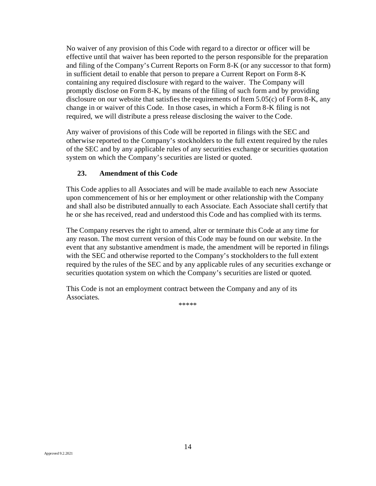No waiver of any provision of this Code with regard to a director or officer will be effective until that waiver has been reported to the person responsible for the preparation and filing of the Company's Current Reports on Form 8-K (or any successor to that form) in sufficient detail to enable that person to prepare a Current Report on Form 8-K containing any required disclosure with regard to the waiver. The Company will promptly disclose on Form 8-K, by means of the filing of such form and by providing disclosure on our website that satisfies the requirements of Item 5.05(c) of Form 8-K, any change in or waiver of this Code. In those cases, in which a Form 8-K filing is not required, we will distribute a press release disclosing the waiver to the Code.

Any waiver of provisions of this Code will be reported in filings with the SEC and otherwise reported to the Company's stockholders to the full extent required by the rules of the SEC and by any applicable rules of any securities exchange or securities quotation system on which the Company's securities are listed or quoted.

### **23. Amendment of this Code**

This Code applies to all Associates and will be made available to each new Associate upon commencement of his or her employment or other relationship with the Company and shall also be distributed annually to each Associate. Each Associate shall certify that he or she has received, read and understood this Code and has complied with its terms.

The Company reserves the right to amend, alter or terminate this Code at any time for any reason. The most current version of this Code may be found on our website. In the event that any substantive amendment is made, the amendment will be reported in filings with the SEC and otherwise reported to the Company's stockholders to the full extent required by the rules of the SEC and by any applicable rules of any securities exchange or securities quotation system on which the Company's securities are listed or quoted.

This Code is not an employment contract between the Company and any of its Associates.

\*\*\*\*\*